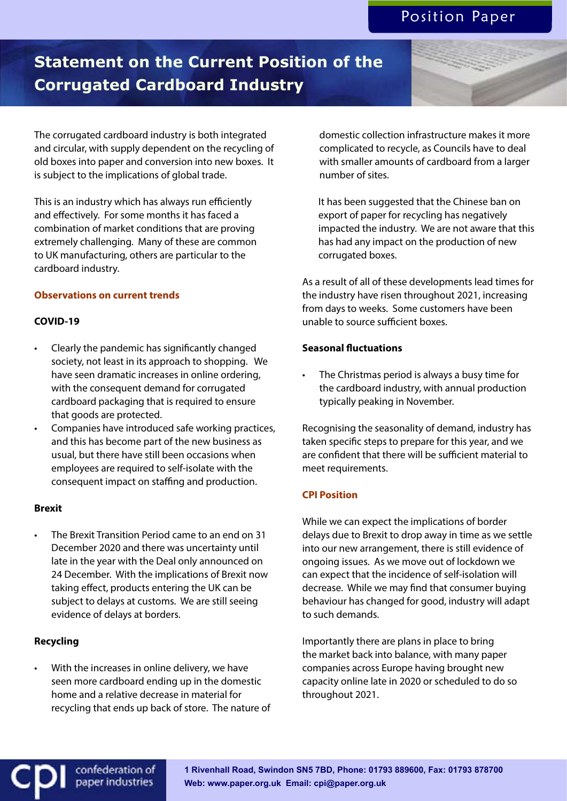# **Statement on the Current Position of the Corrugated Cardboard Industry**

The corrugated cardboard industry is both integrated and circular, with supply dependent on the recycling of old boxes into paper and conversion into new boxes. It is subject to the implications of global trade.

This is an industry which has always run efficiently and effectively. For some months it has faced a combination of market conditions that are proving extremely challenging. Many of these are common to UK manufacturing, others are particular to the cardboard industry.

# **Observations on current trends**

#### **COVID-19**

- Clearly the pandemic has significantly changed society, not least in its approach to shopping. We have seen dramatic increases in online ordering, with the consequent demand for corrugated cardboard packaging that is required to ensure that goods are protected.
- Companies have introduced safe working practices, and this has become part of the new business as usual, but there have still been occasions when employees are required to self-isolate with the consequent impact on staffing and production.

# **Brexit**

• The Brexit Transition Period came to an end on 31 December 2020 and there was uncertainty until late in the year with the Deal only announced on 24 December. With the implications of Brexit now taking effect, products entering the UK can be subject to delays at customs. We are still seeing evidence of delays at borders.

# **Recycling**

With the increases in online delivery, we have seen more cardboard ending up in the domestic home and a relative decrease in material for recycling that ends up back of store. The nature of

> confederation of paper industries

domestic collection infrastructure makes it more complicated to recycle, as Councils have to deal with smaller amounts of cardboard from a larger number of sites.

It has been suggested that the Chinese ban on export of paper for recycling has negatively impacted the industry. We are not aware that this has had any impact on the production of new corrugated boxes.

As a result of all of these developments lead times for the industry have risen throughout 2021, increasing from days to weeks. Some customers have been unable to source sufficient boxes.

#### **Seasonal fluctuations**

The Christmas period is always a busy time for the cardboard industry, with annual production typically peaking in November.

Recognising the seasonality of demand, industry has taken specific steps to prepare for this year, and we are confident that there will be sufficient material to meet requirements.

# **CPI Position**

While we can expect the implications of border delays due to Brexit to drop away in time as we settle into our new arrangement, there is still evidence of ongoing issues. As we move out of lockdown we can expect that the incidence of self-isolation will decrease. While we may find that consumer buying behaviour has changed for good, industry will adapt to such demands.

Importantly there are plans in place to bring the market back into balance, with many paper companies across Europe having brought new capacity online late in 2020 or scheduled to do so throughout 2021.